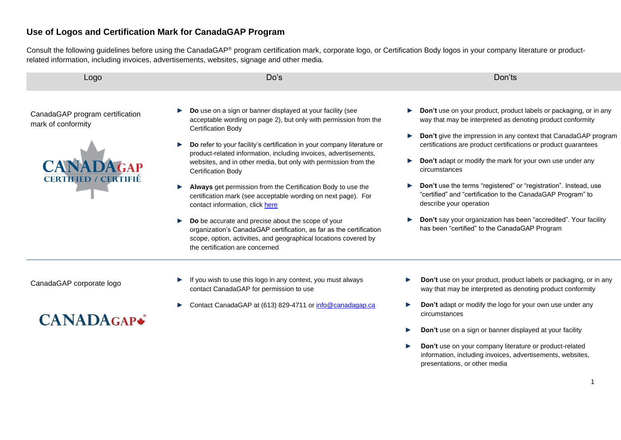### **Use of Logos and Certification Mark for CanadaGAP Program**

Consult the following guidelines before using the CanadaGAP® program certification mark, corporate logo, or Certification Body logos in your company literature or productrelated information, including invoices, advertisements, websites, signage and other media.

| Logo                                                                                                     | Do's                                                                                                                                                                                                                                                                                                                                                                                                                                                                                                                                                                                                                                                                                                                                                                                                        | Don'ts                                                                                                                                                                                                                                                                                                                                                                                                                                                                                                                                                                                                                                        |
|----------------------------------------------------------------------------------------------------------|-------------------------------------------------------------------------------------------------------------------------------------------------------------------------------------------------------------------------------------------------------------------------------------------------------------------------------------------------------------------------------------------------------------------------------------------------------------------------------------------------------------------------------------------------------------------------------------------------------------------------------------------------------------------------------------------------------------------------------------------------------------------------------------------------------------|-----------------------------------------------------------------------------------------------------------------------------------------------------------------------------------------------------------------------------------------------------------------------------------------------------------------------------------------------------------------------------------------------------------------------------------------------------------------------------------------------------------------------------------------------------------------------------------------------------------------------------------------------|
| CanadaGAP program certification<br>mark of conformity<br><b>CANADAGAP</b><br><b>CERTIFIED / CERTIFIÉ</b> | Do use on a sign or banner displayed at your facility (see<br>acceptable wording on page 2), but only with permission from the<br><b>Certification Body</b><br>Do refer to your facility's certification in your company literature or<br>product-related information, including invoices, advertisements,<br>websites, and in other media, but only with permission from the<br>Certification Body<br>Always get permission from the Certification Body to use the<br>certification mark (see acceptable wording on next page). For<br>contact information, click here<br>Do be accurate and precise about the scope of your<br>organization's CanadaGAP certification, as far as the certification<br>scope, option, activities, and geographical locations covered by<br>the certification are concerned | Don't use on your product, product labels or packaging, or in any<br>way that may be interpreted as denoting product conformity<br>Don't give the impression in any context that CanadaGAP program<br>certifications are product certifications or product guarantees<br>Don't adapt or modify the mark for your own use under any<br>circumstances<br>Don't use the terms "registered" or "registration". Instead, use<br>"certified" and "certification to the CanadaGAP Program" to<br>describe your operation<br><b>Don't</b> say your organization has been "accredited". Your facility<br>has been "certified" to the CanadaGAP Program |
| CanadaGAP corporate logo                                                                                 | If you wish to use this logo in any context, you must always<br>contact CanadaGAP for permission to use                                                                                                                                                                                                                                                                                                                                                                                                                                                                                                                                                                                                                                                                                                     | Don't use on your product, product labels or packaging, or in any<br>way that may be interpreted as denoting product conformity                                                                                                                                                                                                                                                                                                                                                                                                                                                                                                               |
|                                                                                                          | Contact CanadaGAP at $(613)$ 829-4711 or info@canadagap ca                                                                                                                                                                                                                                                                                                                                                                                                                                                                                                                                                                                                                                                                                                                                                  | <b>Don't adapt or modify the logo for your own use under any</b>                                                                                                                                                                                                                                                                                                                                                                                                                                                                                                                                                                              |

# **CANADAGAP\***

- Contact CanadaGAP at (613) 829-4711 or <u>info@canadagap.ca</u>
- ► **Don't** adapt or modify the logo for your own use under any circumstances
- ► **Don't** use on a sign or banner displayed at your facility
- ► **Don't** use on your company literature or product-related information, including invoices, advertisements, websites, presentations, or other media